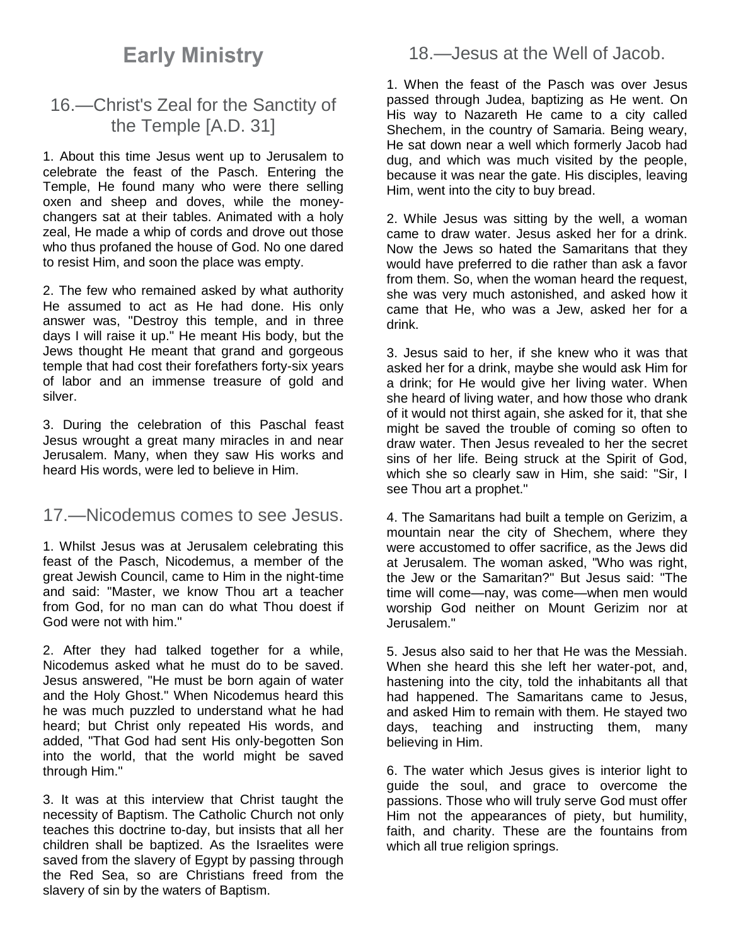# **Early Ministry**

# 16.—Christ's Zeal for the Sanctity of the Temple [A.D. 31]

1. About this time Jesus went up to Jerusalem to celebrate the feast of the Pasch. Entering the Temple, He found many who were there selling oxen and sheep and doves, while the moneychangers sat at their tables. Animated with a holy zeal, He made a whip of cords and drove out those who thus profaned the house of God. No one dared to resist Him, and soon the place was empty.

2. The few who remained asked by what authority He assumed to act as He had done. His only answer was, "Destroy this temple, and in three days I will raise it up." He meant His body, but the Jews thought He meant that grand and gorgeous temple that had cost their forefathers forty-six years of labor and an immense treasure of gold and silver.

3. During the celebration of this Paschal feast Jesus wrought a great many miracles in and near Jerusalem. Many, when they saw His works and heard His words, were led to believe in Him.

### 17.—Nicodemus comes to see Jesus.

1. Whilst Jesus was at Jerusalem celebrating this feast of the Pasch, Nicodemus, a member of the great Jewish Council, came to Him in the night-time and said: "Master, we know Thou art a teacher from God, for no man can do what Thou doest if God were not with him."

2. After they had talked together for a while, Nicodemus asked what he must do to be saved. Jesus answered, "He must be born again of water and the Holy Ghost." When Nicodemus heard this he was much puzzled to understand what he had heard; but Christ only repeated His words, and added, "That God had sent His only-begotten Son into the world, that the world might be saved through Him."

3. It was at this interview that Christ taught the necessity of Baptism. The Catholic Church not only teaches this doctrine to-day, but insists that all her children shall be baptized. As the Israelites were saved from the slavery of Egypt by passing through the Red Sea, so are Christians freed from the slavery of sin by the waters of Baptism.

18.—Jesus at the Well of Jacob.

1. When the feast of the Pasch was over Jesus passed through Judea, baptizing as He went. On His way to Nazareth He came to a city called Shechem, in the country of Samaria. Being weary, He sat down near a well which formerly Jacob had dug, and which was much visited by the people, because it was near the gate. His disciples, leaving Him, went into the city to buy bread.

2. While Jesus was sitting by the well, a woman came to draw water. Jesus asked her for a drink. Now the Jews so hated the Samaritans that they would have preferred to die rather than ask a favor from them. So, when the woman heard the request, she was very much astonished, and asked how it came that He, who was a Jew, asked her for a drink.

3. Jesus said to her, if she knew who it was that asked her for a drink, maybe she would ask Him for a drink; for He would give her living water. When she heard of living water, and how those who drank of it would not thirst again, she asked for it, that she might be saved the trouble of coming so often to draw water. Then Jesus revealed to her the secret sins of her life. Being struck at the Spirit of God, which she so clearly saw in Him, she said: "Sir, I see Thou art a prophet."

4. The Samaritans had built a temple on Gerizim, a mountain near the city of Shechem, where they were accustomed to offer sacrifice, as the Jews did at Jerusalem. The woman asked, "Who was right, the Jew or the Samaritan?" But Jesus said: "The time will come—nay, was come—when men would worship God neither on Mount Gerizim nor at Jerusalem."

5. Jesus also said to her that He was the Messiah. When she heard this she left her water-pot, and, hastening into the city, told the inhabitants all that had happened. The Samaritans came to Jesus, and asked Him to remain with them. He stayed two days, teaching and instructing them, many believing in Him.

6. The water which Jesus gives is interior light to guide the soul, and grace to overcome the passions. Those who will truly serve God must offer Him not the appearances of piety, but humility, faith, and charity. These are the fountains from which all true religion springs.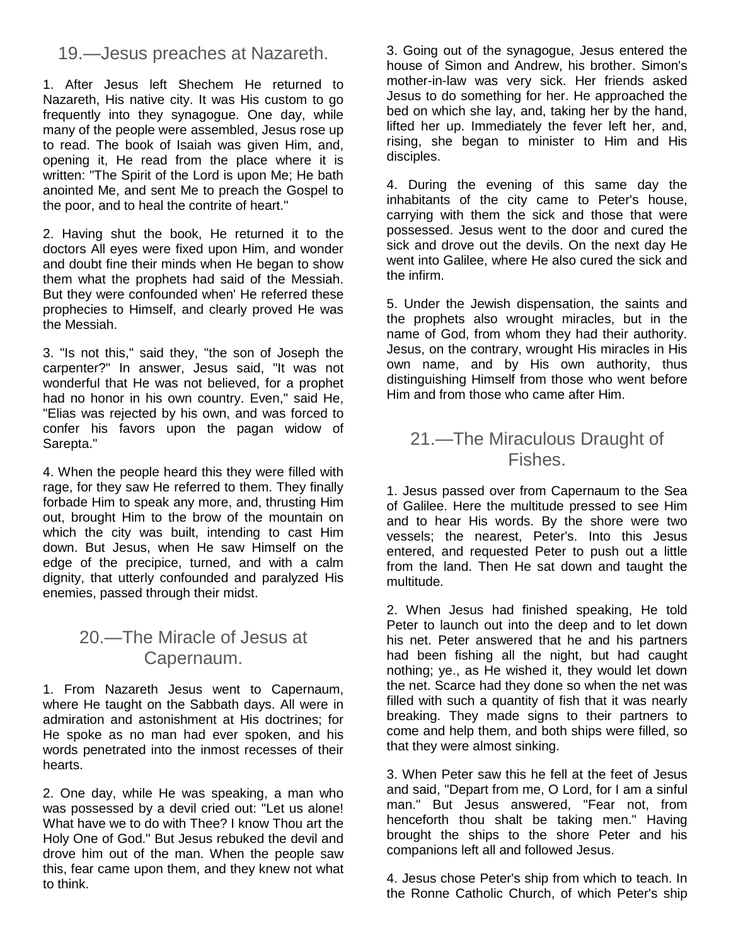### 19.—Jesus preaches at Nazareth.

1. After Jesus left Shechem He returned to Nazareth, His native city. It was His custom to go frequently into they synagogue. One day, while many of the people were assembled, Jesus rose up to read. The book of Isaiah was given Him, and, opening it, He read from the place where it is written: "The Spirit of the Lord is upon Me; He bath anointed Me, and sent Me to preach the Gospel to the poor, and to heal the contrite of heart."

2. Having shut the book, He returned it to the doctors All eyes were fixed upon Him, and wonder and doubt fine their minds when He began to show them what the prophets had said of the Messiah. But they were confounded when' He referred these prophecies to Himself, and clearly proved He was the Messiah.

3. "Is not this," said they, "the son of Joseph the carpenter?" In answer, Jesus said, "It was not wonderful that He was not believed, for a prophet had no honor in his own country. Even," said He, "Elias was rejected by his own, and was forced to confer his favors upon the pagan widow of Sarepta."

4. When the people heard this they were filled with rage, for they saw He referred to them. They finally forbade Him to speak any more, and, thrusting Him out, brought Him to the brow of the mountain on which the city was built, intending to cast Him down. But Jesus, when He saw Himself on the edge of the precipice, turned, and with a calm dignity, that utterly confounded and paralyzed His enemies, passed through their midst.

# 20.—The Miracle of Jesus at Capernaum.

1. From Nazareth Jesus went to Capernaum, where He taught on the Sabbath days. All were in admiration and astonishment at His doctrines; for He spoke as no man had ever spoken, and his words penetrated into the inmost recesses of their hearts.

2. One day, while He was speaking, a man who was possessed by a devil cried out: "Let us alone! What have we to do with Thee? I know Thou art the Holy One of God." But Jesus rebuked the devil and drove him out of the man. When the people saw this, fear came upon them, and they knew not what to think.

3. Going out of the synagogue, Jesus entered the house of Simon and Andrew, his brother. Simon's mother-in-law was very sick. Her friends asked Jesus to do something for her. He approached the bed on which she lay, and, taking her by the hand, lifted her up. Immediately the fever left her, and, rising, she began to minister to Him and His disciples.

4. During the evening of this same day the inhabitants of the city came to Peter's house, carrying with them the sick and those that were possessed. Jesus went to the door and cured the sick and drove out the devils. On the next day He went into Galilee, where He also cured the sick and the infirm.

5. Under the Jewish dispensation, the saints and the prophets also wrought miracles, but in the name of God, from whom they had their authority. Jesus, on the contrary, wrought His miracles in His own name, and by His own authority, thus distinguishing Himself from those who went before Him and from those who came after Him.

# 21.—The Miraculous Draught of Fishes.

1. Jesus passed over from Capernaum to the Sea of Galilee. Here the multitude pressed to see Him and to hear His words. By the shore were two vessels; the nearest, Peter's. Into this Jesus entered, and requested Peter to push out a little from the land. Then He sat down and taught the multitude.

2. When Jesus had finished speaking, He told Peter to launch out into the deep and to let down his net. Peter answered that he and his partners had been fishing all the night, but had caught nothing; ye., as He wished it, they would let down the net. Scarce had they done so when the net was filled with such a quantity of fish that it was nearly breaking. They made signs to their partners to come and help them, and both ships were filled, so that they were almost sinking.

3. When Peter saw this he fell at the feet of Jesus and said, "Depart from me, O Lord, for I am a sinful man." But Jesus answered, "Fear not, from henceforth thou shalt be taking men." Having brought the ships to the shore Peter and his companions left all and followed Jesus.

4. Jesus chose Peter's ship from which to teach. In the Ronne Catholic Church, of which Peter's ship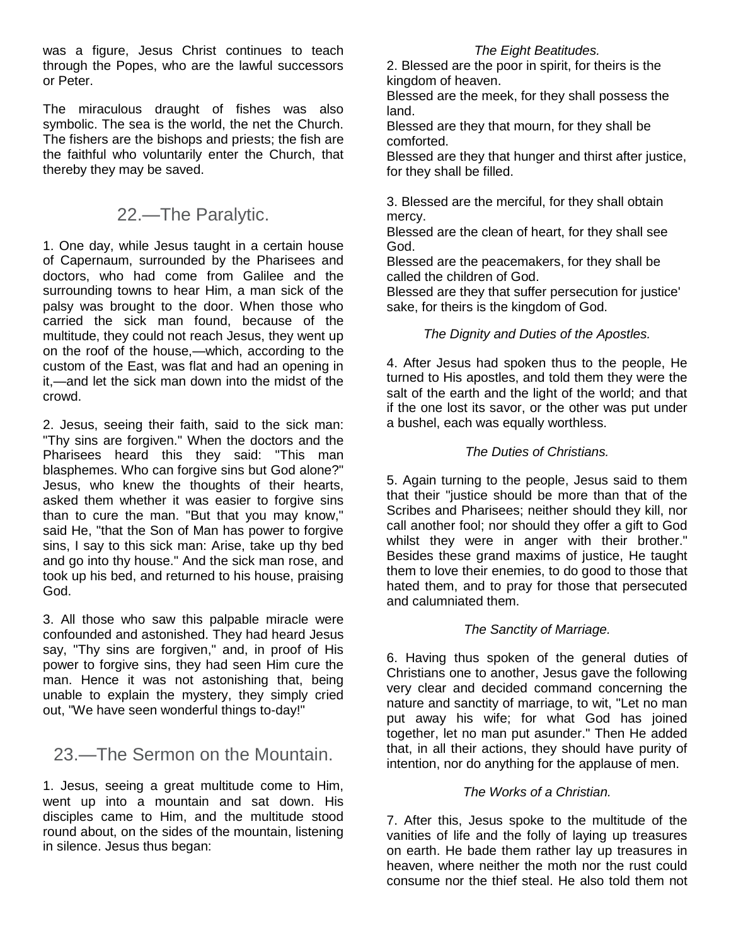was a figure, Jesus Christ continues to teach through the Popes, who are the lawful successors or Peter.

The miraculous draught of fishes was also symbolic. The sea is the world, the net the Church. The fishers are the bishops and priests; the fish are the faithful who voluntarily enter the Church, that thereby they may be saved.

### 22.—The Paralytic.

1. One day, while Jesus taught in a certain house of Capernaum, surrounded by the Pharisees and doctors, who had come from Galilee and the surrounding towns to hear Him, a man sick of the palsy was brought to the door. When those who carried the sick man found, because of the multitude, they could not reach Jesus, they went up on the roof of the house,—which, according to the custom of the East, was flat and had an opening in it,—and let the sick man down into the midst of the crowd.

2. Jesus, seeing their faith, said to the sick man: "Thy sins are forgiven." When the doctors and the Pharisees heard this they said: "This man blasphemes. Who can forgive sins but God alone?" Jesus, who knew the thoughts of their hearts, asked them whether it was easier to forgive sins than to cure the man. "But that you may know," said He, "that the Son of Man has power to forgive sins, I say to this sick man: Arise, take up thy bed and go into thy house." And the sick man rose, and took up his bed, and returned to his house, praising God.

3. All those who saw this palpable miracle were confounded and astonished. They had heard Jesus say, "Thy sins are forgiven," and, in proof of His power to forgive sins, they had seen Him cure the man. Hence it was not astonishing that, being unable to explain the mystery, they simply cried out, "We have seen wonderful things to-day!"

### 23.—The Sermon on the Mountain.

1. Jesus, seeing a great multitude come to Him, went up into a mountain and sat down. His disciples came to Him, and the multitude stood round about, on the sides of the mountain, listening in silence. Jesus thus began:

#### *The Eight Beatitudes.*

2. Blessed are the poor in spirit, for theirs is the kingdom of heaven.

Blessed are the meek, for they shall possess the land.

Blessed are they that mourn, for they shall be comforted.

Blessed are they that hunger and thirst after justice, for they shall be filled.

3. Blessed are the merciful, for they shall obtain mercy.

Blessed are the clean of heart, for they shall see God.

Blessed are the peacemakers, for they shall be called the children of God.

Blessed are they that suffer persecution for justice' sake, for theirs is the kingdom of God.

#### *The Dignity and Duties of the Apostles.*

4. After Jesus had spoken thus to the people, He turned to His apostles, and told them they were the salt of the earth and the light of the world; and that if the one lost its savor, or the other was put under a bushel, each was equally worthless.

#### *The Duties of Christians.*

5. Again turning to the people, Jesus said to them that their "justice should be more than that of the Scribes and Pharisees; neither should they kill, nor call another fool; nor should they offer a gift to God whilst they were in anger with their brother." Besides these grand maxims of justice, He taught them to love their enemies, to do good to those that hated them, and to pray for those that persecuted and calumniated them.

#### *The Sanctity of Marriage.*

6. Having thus spoken of the general duties of Christians one to another, Jesus gave the following very clear and decided command concerning the nature and sanctity of marriage, to wit, "Let no man put away his wife; for what God has joined together, let no man put asunder." Then He added that, in all their actions, they should have purity of intention, nor do anything for the applause of men.

#### *The Works of a Christian.*

7. After this, Jesus spoke to the multitude of the vanities of life and the folly of laying up treasures on earth. He bade them rather lay up treasures in heaven, where neither the moth nor the rust could consume nor the thief steal. He also told them not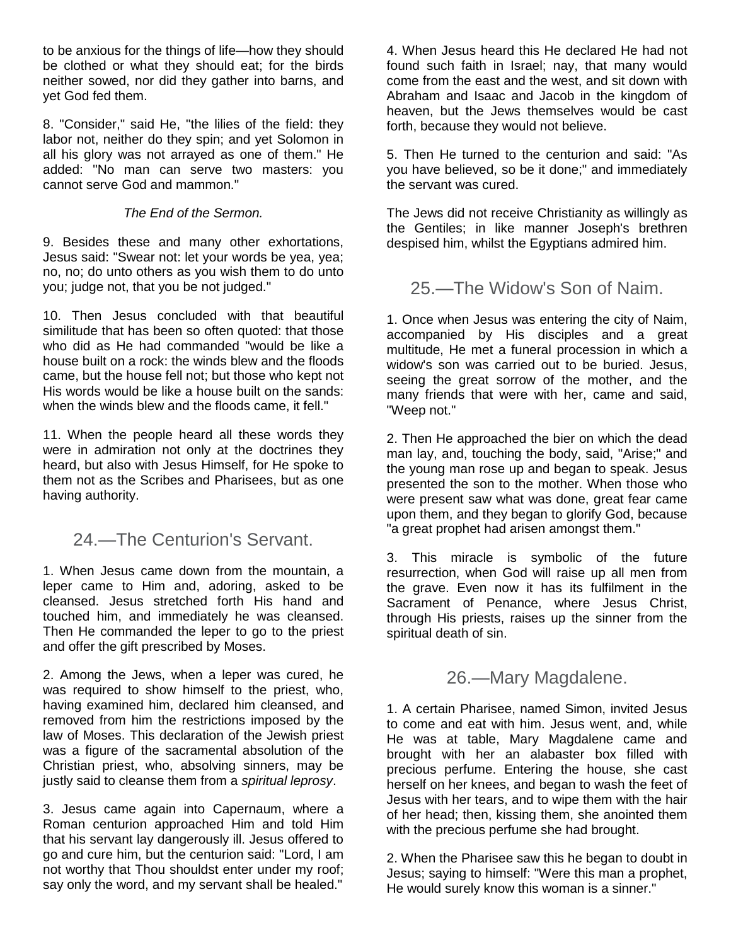to be anxious for the things of life—how they should be clothed or what they should eat; for the birds neither sowed, nor did they gather into barns, and yet God fed them.

8. "Consider," said He, "the lilies of the field: they labor not, neither do they spin; and yet Solomon in all his glory was not arrayed as one of them." He added: "No man can serve two masters: you cannot serve God and mammon."

#### *The End of the Sermon.*

9. Besides these and many other exhortations, Jesus said: "Swear not: let your words be yea, yea; no, no; do unto others as you wish them to do unto you; judge not, that you be not judged."

10. Then Jesus concluded with that beautiful similitude that has been so often quoted: that those who did as He had commanded "would be like a house built on a rock: the winds blew and the floods came, but the house fell not; but those who kept not His words would be like a house built on the sands: when the winds blew and the floods came, it fell."

11. When the people heard all these words they were in admiration not only at the doctrines they heard, but also with Jesus Himself, for He spoke to them not as the Scribes and Pharisees, but as one having authority.

### 24.—The Centurion's Servant.

1. When Jesus came down from the mountain, a leper came to Him and, adoring, asked to be cleansed. Jesus stretched forth His hand and touched him, and immediately he was cleansed. Then He commanded the leper to go to the priest and offer the gift prescribed by Moses.

2. Among the Jews, when a leper was cured, he was required to show himself to the priest, who, having examined him, declared him cleansed, and removed from him the restrictions imposed by the law of Moses. This declaration of the Jewish priest was a figure of the sacramental absolution of the Christian priest, who, absolving sinners, may be justly said to cleanse them from a *spiritual leprosy*.

3. Jesus came again into Capernaum, where a Roman centurion approached Him and told Him that his servant lay dangerously ill. Jesus offered to go and cure him, but the centurion said: "Lord, I am not worthy that Thou shouldst enter under my roof; say only the word, and my servant shall be healed."

4. When Jesus heard this He declared He had not found such faith in Israel; nay, that many would come from the east and the west, and sit down with Abraham and Isaac and Jacob in the kingdom of heaven, but the Jews themselves would be cast forth, because they would not believe.

5. Then He turned to the centurion and said: "As you have believed, so be it done;" and immediately the servant was cured.

The Jews did not receive Christianity as willingly as the Gentiles; in like manner Joseph's brethren despised him, whilst the Egyptians admired him.

### 25.—The Widow's Son of Naim.

1. Once when Jesus was entering the city of Naim, accompanied by His disciples and a great multitude, He met a funeral procession in which a widow's son was carried out to be buried. Jesus, seeing the great sorrow of the mother, and the many friends that were with her, came and said, "Weep not."

2. Then He approached the bier on which the dead man lay, and, touching the body, said, "Arise;" and the young man rose up and began to speak. Jesus presented the son to the mother. When those who were present saw what was done, great fear came upon them, and they began to glorify God, because "a great prophet had arisen amongst them."

3. This miracle is symbolic of the future resurrection, when God will raise up all men from the grave. Even now it has its fulfilment in the Sacrament of Penance, where Jesus Christ, through His priests, raises up the sinner from the spiritual death of sin.

26.—Mary Magdalene.

1. A certain Pharisee, named Simon, invited Jesus to come and eat with him. Jesus went, and, while He was at table, Mary Magdalene came and brought with her an alabaster box filled with precious perfume. Entering the house, she cast herself on her knees, and began to wash the feet of Jesus with her tears, and to wipe them with the hair of her head; then, kissing them, she anointed them with the precious perfume she had brought.

2. When the Pharisee saw this he began to doubt in Jesus; saying to himself: "Were this man a prophet, He would surely know this woman is a sinner."